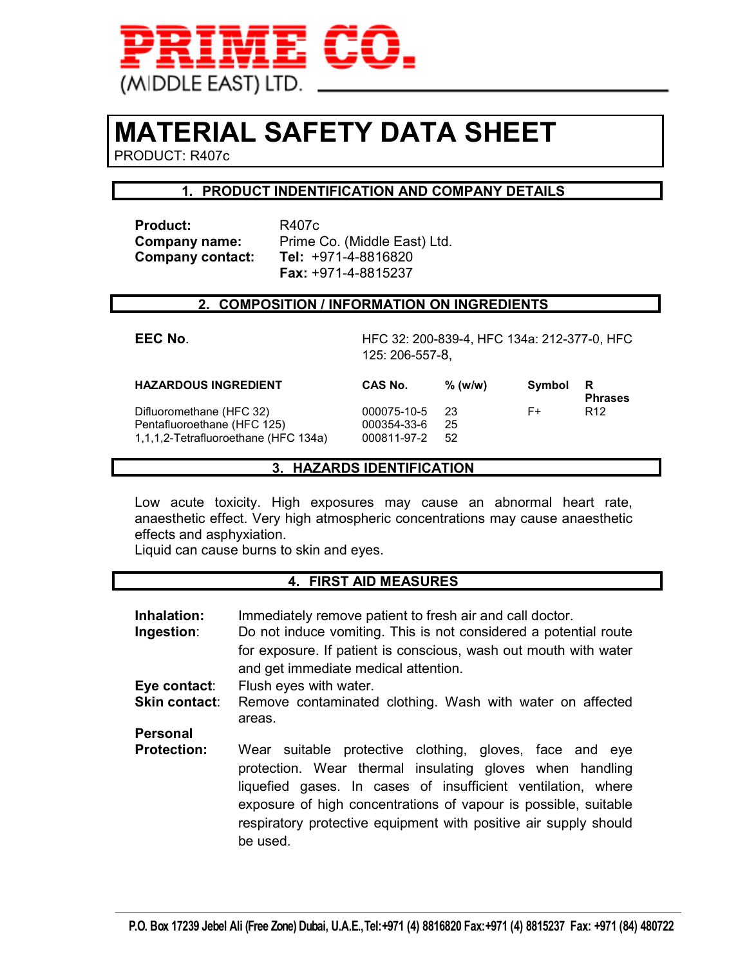

# **MATERIAL SAFETY DATA SHEET**

PRODUCT: R407c

#### **1. PRODUCT INDENTIFICATION AND COMPANY DETAILS**

Product: R407c **Company contact:** 

**Company name:** Prime Co. (Middle East) Ltd.<br>**Company contact: Tel:** +971-4-8816820  **Fax:** +971-4-8815237

#### **2. COMPOSITION / INFORMATION ON INGREDIENTS**

**EEC No**. HFC 32: 200-839-4, HFC 134a: 212-377-0, HFC 125: 206-557-8,

| <b>HAZARDOUS INGREDIENT</b>          | CAS No.     | $%$ (w/w) | Symbol | R<br><b>Phrases</b> |
|--------------------------------------|-------------|-----------|--------|---------------------|
| Difluoromethane (HFC 32)             | 000075-10-5 | 23        | F+     | R <sub>12</sub>     |
| Pentafluoroethane (HFC 125)          | 000354-33-6 | 25        |        |                     |
| 1,1,1,2-Tetrafluoroethane (HFC 134a) | 000811-97-2 | .52       |        |                     |

#### **3. HAZARDS IDENTIFICATION**

Low acute toxicity. High exposures may cause an abnormal heart rate, anaesthetic effect. Very high atmospheric concentrations may cause anaesthetic effects and asphyxiation.

Liquid can cause burns to skin and eyes.

#### **4. FIRST AID MEASURES**

| Inhalation:<br>Ingestion: | Immediately remove patient to fresh air and call doctor.<br>Do not induce vomiting. This is not considered a potential route<br>for exposure. If patient is conscious, wash out mouth with water<br>and get immediate medical attention.                                                                                               |  |  |
|---------------------------|----------------------------------------------------------------------------------------------------------------------------------------------------------------------------------------------------------------------------------------------------------------------------------------------------------------------------------------|--|--|
| Eye contact:              | Flush eyes with water.                                                                                                                                                                                                                                                                                                                 |  |  |
| <b>Skin contact:</b>      | Remove contaminated clothing. Wash with water on affected<br>areas.                                                                                                                                                                                                                                                                    |  |  |
| <b>Personal</b>           |                                                                                                                                                                                                                                                                                                                                        |  |  |
| <b>Protection:</b>        | Wear suitable protective clothing, gloves, face and eye<br>protection. Wear thermal insulating gloves when handling<br>liquefied gases. In cases of insufficient ventilation, where<br>exposure of high concentrations of vapour is possible, suitable<br>respiratory protective equipment with positive air supply should<br>be used. |  |  |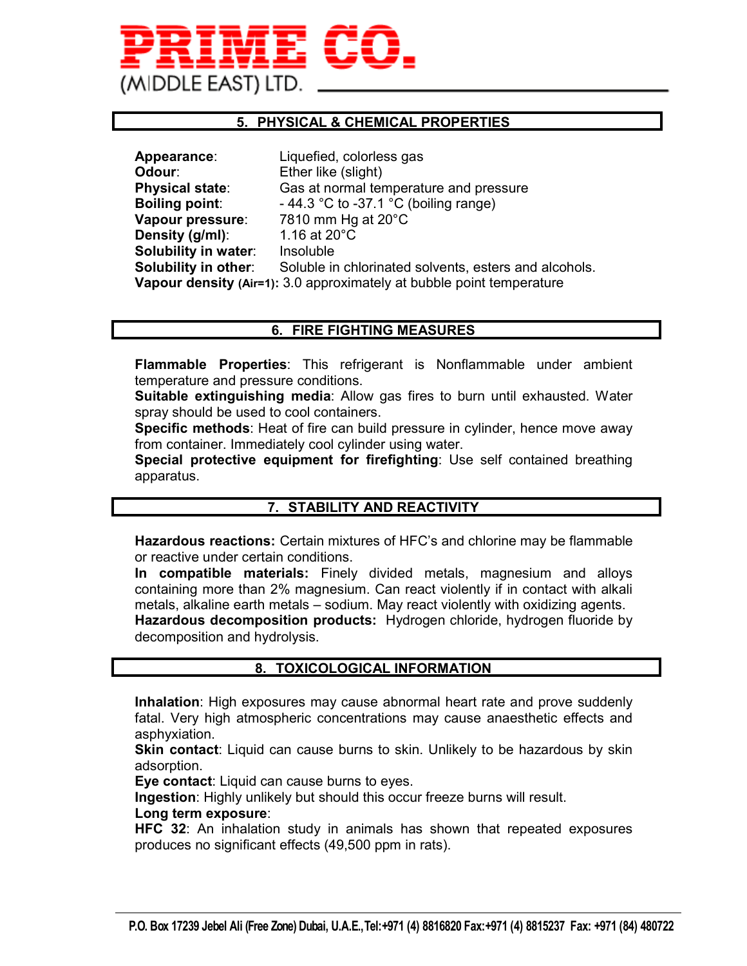# MIDDLE EAST) LTD

#### **5. PHYSICAL & CHEMICAL PROPERTIES**

| Appearance:            | Liquefied, colorless gas                                              |
|------------------------|-----------------------------------------------------------------------|
| Odour:                 | Ether like (slight)                                                   |
| <b>Physical state:</b> | Gas at normal temperature and pressure                                |
| <b>Boiling point:</b>  | - 44.3 °C to -37.1 °C (boiling range)                                 |
| Vapour pressure:       | 7810 mm Hg at 20°C                                                    |
| Density (g/ml):        | 1.16 at 20°C                                                          |
| Solubility in water:   | Insoluble                                                             |
| Solubility in other:   | Soluble in chlorinated solvents, esters and alcohols.                 |
|                        | Vapour density (Air=1): 3.0 approximately at bubble point temperature |

#### **6. FIRE FIGHTING MEASURES**

**Flammable Properties**: This refrigerant is Nonflammable under ambient temperature and pressure conditions.

**Suitable extinguishing media**: Allow gas fires to burn until exhausted. Water spray should be used to cool containers.

**Specific methods**: Heat of fire can build pressure in cylinder, hence move away from container. Immediately cool cylinder using water.

**Special protective equipment for firefighting**: Use self contained breathing apparatus.

#### **7. STABILITY AND REACTIVITY**

**Hazardous reactions:** Certain mixtures of HFC's and chlorine may be flammable or reactive under certain conditions.

**In compatible materials:** Finely divided metals, magnesium and alloys containing more than 2% magnesium. Can react violently if in contact with alkali metals, alkaline earth metals – sodium. May react violently with oxidizing agents. **Hazardous decomposition products:** Hydrogen chloride, hydrogen fluoride by decomposition and hydrolysis.

#### **8. TOXICOLOGICAL INFORMATION**

**Inhalation**: High exposures may cause abnormal heart rate and prove suddenly fatal. Very high atmospheric concentrations may cause anaesthetic effects and asphyxiation.

**Skin contact**: Liquid can cause burns to skin. Unlikely to be hazardous by skin adsorption.

**Eye contact**: Liquid can cause burns to eyes.

**Ingestion**: Highly unlikely but should this occur freeze burns will result.

#### **Long term exposure**:

**HFC 32**: An inhalation study in animals has shown that repeated exposures produces no significant effects (49,500 ppm in rats).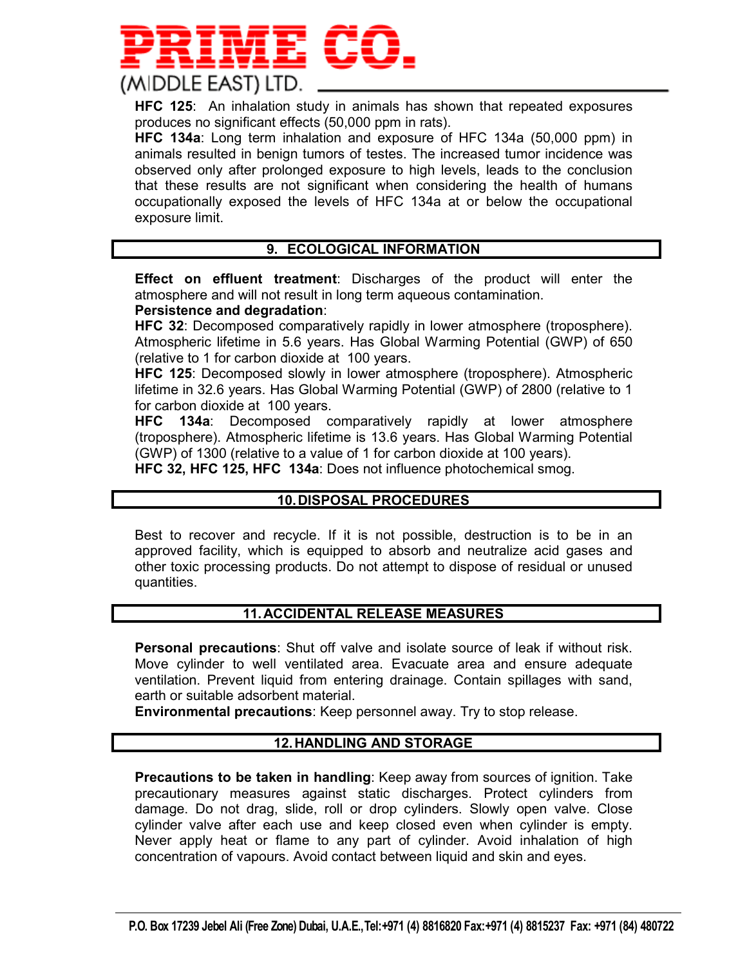

**HFC 125**: An inhalation study in animals has shown that repeated exposures produces no significant effects (50,000 ppm in rats).

**HFC 134a**: Long term inhalation and exposure of HFC 134a (50,000 ppm) in animals resulted in benign tumors of testes. The increased tumor incidence was observed only after prolonged exposure to high levels, leads to the conclusion that these results are not significant when considering the health of humans occupationally exposed the levels of HFC 134a at or below the occupational exposure limit.

#### **9. ECOLOGICAL INFORMATION**

**Effect on effluent treatment**: Discharges of the product will enter the atmosphere and will not result in long term aqueous contamination.

#### **Persistence and degradation**:

**HFC 32**: Decomposed comparatively rapidly in lower atmosphere (troposphere). Atmospheric lifetime in 5.6 years. Has Global Warming Potential (GWP) of 650 (relative to 1 for carbon dioxide at 100 years.

**HFC 125**: Decomposed slowly in lower atmosphere (troposphere). Atmospheric lifetime in 32.6 years. Has Global Warming Potential (GWP) of 2800 (relative to 1 for carbon dioxide at 100 years.

**HFC 134a**: Decomposed comparatively rapidly at lower atmosphere (troposphere). Atmospheric lifetime is 13.6 years. Has Global Warming Potential (GWP) of 1300 (relative to a value of 1 for carbon dioxide at 100 years).

**HFC 32, HFC 125, HFC 134a**: Does not influence photochemical smog.

#### **10. DISPOSAL PROCEDURES**

Best to recover and recycle. If it is not possible, destruction is to be in an approved facility, which is equipped to absorb and neutralize acid gases and other toxic processing products. Do not attempt to dispose of residual or unused quantities.

#### **11. ACCIDENTAL RELEASE MEASURES**

**Personal precautions**: Shut off valve and isolate source of leak if without risk. Move cylinder to well ventilated area. Evacuate area and ensure adequate ventilation. Prevent liquid from entering drainage. Contain spillages with sand, earth or suitable adsorbent material.

**Environmental precautions**: Keep personnel away. Try to stop release.

#### **12. HANDLING AND STORAGE**

**Precautions to be taken in handling**: Keep away from sources of ignition. Take precautionary measures against static discharges. Protect cylinders from damage. Do not drag, slide, roll or drop cylinders. Slowly open valve. Close cylinder valve after each use and keep closed even when cylinder is empty. Never apply heat or flame to any part of cylinder. Avoid inhalation of high concentration of vapours. Avoid contact between liquid and skin and eyes.